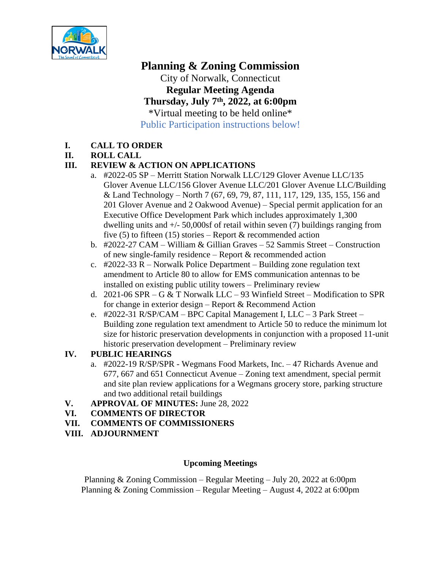

**Planning & Zoning Commission** City of Norwalk, Connecticut **Regular Meeting Agenda Thursday, July 7th, 2022, at 6:00pm** \*Virtual meeting to be held online\* Public Participation instructions below!

# **I. CALL TO ORDER**

#### **II. ROLL CALL**

# **III. REVIEW & ACTION ON APPLICATIONS**

- a. #2022-05 SP Merritt Station Norwalk LLC/129 Glover Avenue LLC/135 Glover Avenue LLC/156 Glover Avenue LLC/201 Glover Avenue LLC/Building & Land Technology – North 7 (67, 69, 79, 87, 111, 117, 129, 135, 155, 156 and 201 Glover Avenue and 2 Oakwood Avenue) – Special permit application for an Executive Office Development Park which includes approximately 1,300 dwelling units and  $+/- 50,000$  of retail within seven (7) buildings ranging from five (5) to fifteen (15) stories – Report  $\&$  recommended action
- b. #2022-27 CAM William & Gillian Graves 52 Sammis Street Construction of new single-family residence – Report & recommended action
- c. #2022-33 R Norwalk Police Department Building zone regulation text amendment to Article 80 to allow for EMS communication antennas to be installed on existing public utility towers – Preliminary review
- d. 2021-06 SPR G & T Norwalk LLC 93 Winfield Street Modification to SPR for change in exterior design – Report & Recommend Action
- e. #2022-31 R/SP/CAM BPC Capital Management I, LLC 3 Park Street Building zone regulation text amendment to Article 50 to reduce the minimum lot size for historic preservation developments in conjunction with a proposed 11-unit historic preservation development – Preliminary review

#### **IV. PUBLIC HEARINGS**

- a. #2022-19 R/SP/SPR Wegmans Food Markets, Inc. 47 Richards Avenue and 677, 667 and 651 Connecticut Avenue – Zoning text amendment, special permit and site plan review applications for a Wegmans grocery store, parking structure and two additional retail buildings
- **V. APPROVAL OF MINUTES:** June 28, 2022
- **VI. COMMENTS OF DIRECTOR**
- **VII. COMMENTS OF COMMISSIONERS**
- **VIII. ADJOURNMENT**

### **Upcoming Meetings**

Planning & Zoning Commission – Regular Meeting – July 20, 2022 at 6:00pm Planning & Zoning Commission – Regular Meeting – August 4, 2022 at 6:00pm